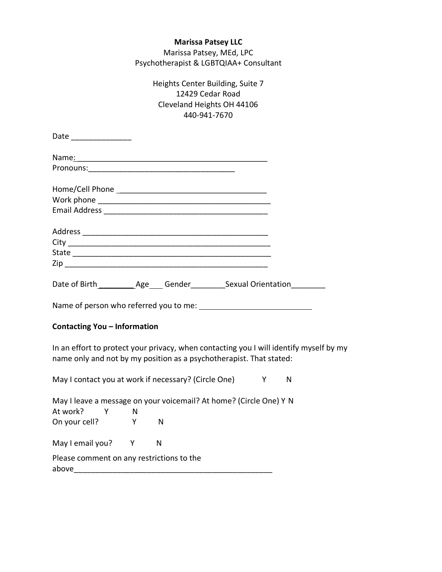# **Marissa Patsey LLC** Marissa Patsey, MEd, LPC Psychotherapist & LGBTQIAA+ Consultant

| Heights Center Building, Suite 7 |
|----------------------------------|
| 12429 Cedar Road                 |
| Cleveland Heights OH 44106       |
| 440-941-7670                     |

| Date ________________                                                                                                                                         |   |  |
|---------------------------------------------------------------------------------------------------------------------------------------------------------------|---|--|
|                                                                                                                                                               |   |  |
|                                                                                                                                                               |   |  |
|                                                                                                                                                               |   |  |
|                                                                                                                                                               |   |  |
|                                                                                                                                                               |   |  |
|                                                                                                                                                               |   |  |
|                                                                                                                                                               |   |  |
|                                                                                                                                                               |   |  |
|                                                                                                                                                               |   |  |
|                                                                                                                                                               |   |  |
|                                                                                                                                                               |   |  |
| <b>Contacting You - Information</b>                                                                                                                           |   |  |
| In an effort to protect your privacy, when contacting you I will identify myself by my<br>name only and not by my position as a psychotherapist. That stated: |   |  |
| May I contact you at work if necessary? (Circle One) Y                                                                                                        | N |  |
| May I leave a message on your voicemail? At home? (Circle One) Y N                                                                                            |   |  |

At work? Y N On your cell? Y N May I email you? Y N Please comment on any restrictions to the above  $\blacksquare$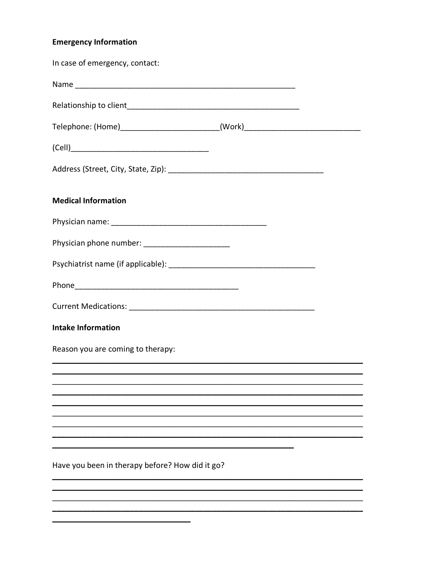# **Emergency Information**

| In case of emergency, contact:                                                   |  |
|----------------------------------------------------------------------------------|--|
|                                                                                  |  |
|                                                                                  |  |
| Telephone: (Home)__________________________(Work)_______________________________ |  |
|                                                                                  |  |
|                                                                                  |  |
| <b>Medical Information</b>                                                       |  |
|                                                                                  |  |
| Physician phone number: ______________________                                   |  |
|                                                                                  |  |
|                                                                                  |  |
|                                                                                  |  |
| <b>Intake Information</b>                                                        |  |
| Reason you are coming to therapy:                                                |  |
|                                                                                  |  |
|                                                                                  |  |
|                                                                                  |  |
|                                                                                  |  |
| Have you been in therapy before? How did it go?                                  |  |
|                                                                                  |  |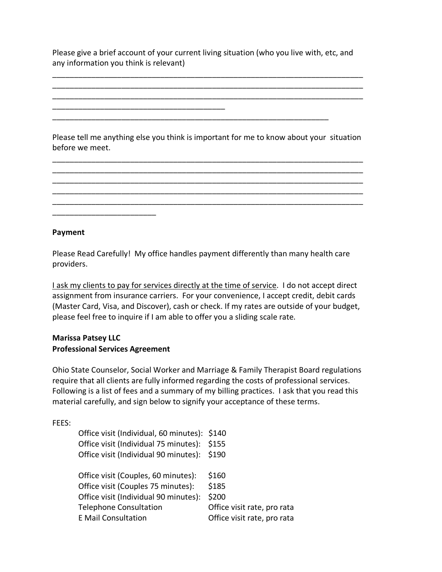Please give a brief account of your current living situation (who you live with, etc, and any information you think is relevant)

\_\_\_\_\_\_\_\_\_\_\_\_\_\_\_\_\_\_\_\_\_\_\_\_\_\_\_\_\_\_\_\_\_\_\_\_\_\_\_\_

\_\_\_\_\_\_\_\_\_\_\_\_\_\_\_\_\_\_\_\_\_\_\_\_\_\_\_\_\_\_\_\_\_\_\_\_\_\_\_\_\_\_\_\_\_\_\_\_\_\_\_\_\_\_\_\_\_\_\_\_\_\_\_\_\_\_\_\_\_\_\_\_ \_\_\_\_\_\_\_\_\_\_\_\_\_\_\_\_\_\_\_\_\_\_\_\_\_\_\_\_\_\_\_\_\_\_\_\_\_\_\_\_\_\_\_\_\_\_\_\_\_\_\_\_\_\_\_\_\_\_\_\_\_\_\_\_\_\_\_\_\_\_\_\_ \_\_\_\_\_\_\_\_\_\_\_\_\_\_\_\_\_\_\_\_\_\_\_\_\_\_\_\_\_\_\_\_\_\_\_\_\_\_\_\_\_\_\_\_\_\_\_\_\_\_\_\_\_\_\_\_\_\_\_\_\_\_\_\_\_\_\_\_\_\_\_\_

Please tell me anything else you think is important for me to know about your situation before we meet.

\_\_\_\_\_\_\_\_\_\_\_\_\_\_\_\_\_\_\_\_\_\_\_\_\_\_\_\_\_\_\_\_\_\_\_\_\_\_\_\_\_\_\_\_\_\_\_\_\_\_\_\_\_\_\_\_\_\_\_\_\_\_\_\_\_\_\_\_\_\_\_\_ \_\_\_\_\_\_\_\_\_\_\_\_\_\_\_\_\_\_\_\_\_\_\_\_\_\_\_\_\_\_\_\_\_\_\_\_\_\_\_\_\_\_\_\_\_\_\_\_\_\_\_\_\_\_\_\_\_\_\_\_\_\_\_\_\_\_\_\_\_\_\_\_ \_\_\_\_\_\_\_\_\_\_\_\_\_\_\_\_\_\_\_\_\_\_\_\_\_\_\_\_\_\_\_\_\_\_\_\_\_\_\_\_\_\_\_\_\_\_\_\_\_\_\_\_\_\_\_\_\_\_\_\_\_\_\_\_\_\_\_\_\_\_\_\_ \_\_\_\_\_\_\_\_\_\_\_\_\_\_\_\_\_\_\_\_\_\_\_\_\_\_\_\_\_\_\_\_\_\_\_\_\_\_\_\_\_\_\_\_\_\_\_\_\_\_\_\_\_\_\_\_\_\_\_\_\_\_\_\_\_\_\_\_\_\_\_\_ \_\_\_\_\_\_\_\_\_\_\_\_\_\_\_\_\_\_\_\_\_\_\_\_\_\_\_\_\_\_\_\_\_\_\_\_\_\_\_\_\_\_\_\_\_\_\_\_\_\_\_\_\_\_\_\_\_\_\_\_\_\_\_\_\_\_\_\_\_\_\_\_

## **Payment**

Please Read Carefully! My office handles payment differently than many health care providers.

I ask my clients to pay for services directly at the time of service. I do not accept direct assignment from insurance carriers. For your convenience, I accept credit, debit cards (Master Card, Visa, and Discover), cash or check. If my rates are outside of your budget, please feel free to inquire if I am able to offer you a sliding scale rate.

## **Marissa Patsey LLC Professional Services Agreement**

\_\_\_\_\_\_\_\_\_\_\_\_\_\_\_\_\_\_\_\_\_\_\_\_

Ohio State Counselor, Social Worker and Marriage & Family Therapist Board regulations require that all clients are fully informed regarding the costs of professional services. Following is a list of fees and a summary of my billing practices. I ask that you read this material carefully, and sign below to signify your acceptance of these terms.

FEES:

| Office visit (Individual, 60 minutes): \$140 |                             |
|----------------------------------------------|-----------------------------|
| Office visit (Individual 75 minutes): \$155  |                             |
| Office visit (Individual 90 minutes): \$190  |                             |
|                                              |                             |
| Office visit (Couples, 60 minutes):          | \$160                       |
| Office visit (Couples 75 minutes):           | \$185                       |
| Office visit (Individual 90 minutes):        | \$200                       |
| <b>Telephone Consultation</b>                | Office visit rate, pro rata |
| <b>E</b> Mail Consultation                   | Office visit rate, pro rata |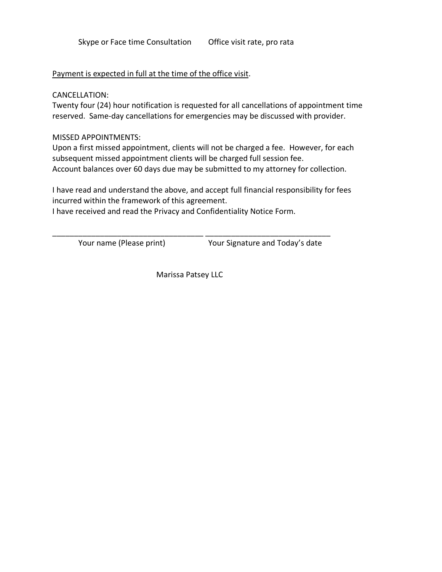## Payment is expected in full at the time of the office visit.

CANCELLATION:

Twenty four (24) hour notification is requested for all cancellations of appointment time reserved. Same-day cancellations for emergencies may be discussed with provider.

MISSED APPOINTMENTS:

Upon a first missed appointment, clients will not be charged a fee. However, for each subsequent missed appointment clients will be charged full session fee. Account balances over 60 days due may be submitted to my attorney for collection.

I have read and understand the above, and accept full financial responsibility for fees incurred within the framework of this agreement.

I have received and read the Privacy and Confidentiality Notice Form.

Your name (Please print) Your Signature and Today's date

Marissa Patsey LLC

\_\_\_\_\_\_\_\_\_\_\_\_\_\_\_\_\_\_\_\_\_\_\_\_\_\_\_\_\_\_\_\_\_\_\_ \_\_\_\_\_\_\_\_\_\_\_\_\_\_\_\_\_\_\_\_\_\_\_\_\_\_\_\_\_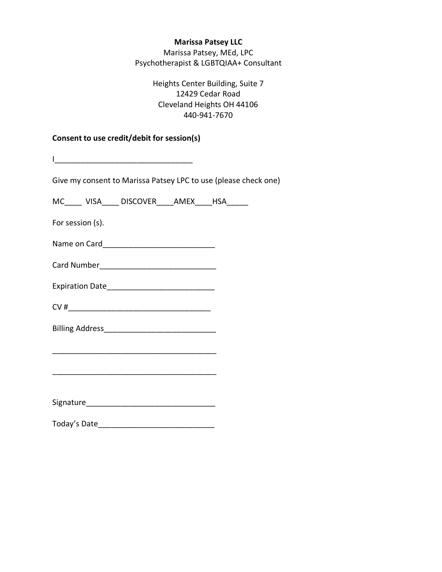# **Marissa Patsey LLC**

Marissa Patsey, MEd, LPC Psychotherapist & LGBTQIAA+ Consultant

> Heights Center Building, Suite 7 12429 Cedar Road Cleveland Heights OH 44106 440-941-7670

# **Consent to use credit/debit for session(s)**

|                  | Give my consent to Marissa Patsey LPC to use (please check one) |  |  |
|------------------|-----------------------------------------------------------------|--|--|
|                  | MC_____ VISA_____ DISCOVER_____AMEX_____HSA______               |  |  |
| For session (s). |                                                                 |  |  |
|                  |                                                                 |  |  |
|                  |                                                                 |  |  |
|                  |                                                                 |  |  |
|                  |                                                                 |  |  |
|                  |                                                                 |  |  |
|                  |                                                                 |  |  |
|                  |                                                                 |  |  |
|                  |                                                                 |  |  |
|                  |                                                                 |  |  |
| Today's Date     |                                                                 |  |  |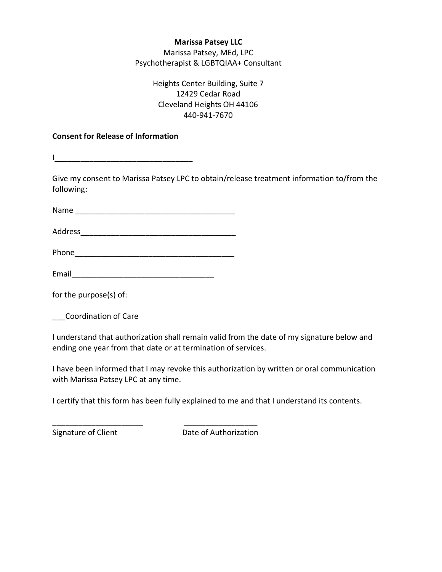# **Marissa Patsey LLC**

Marissa Patsey, MEd, LPC Psychotherapist & LGBTQIAA+ Consultant

> Heights Center Building, Suite 7 12429 Cedar Road Cleveland Heights OH 44106 440-941-7670

# **Consent for Release of Information**

I\_\_\_\_\_\_\_\_\_\_\_\_\_\_\_\_\_\_\_\_\_\_\_\_\_\_\_\_\_\_\_\_

Give my consent to Marissa Patsey LPC to obtain/release treatment information to/from the following:

Name was also as a set of the set of the set of the set of the set of the set of the set of the set of the set of the set of the set of the set of the set of the set of the set of the set of the set of the set of the set o

Address\_\_\_\_\_\_\_\_\_\_\_\_\_\_\_\_\_\_\_\_\_\_\_\_\_\_\_\_\_\_\_\_\_\_\_\_

Phone\_\_\_\_\_\_\_\_\_\_\_\_\_\_\_\_\_\_\_\_\_\_\_\_\_\_\_\_\_\_\_\_\_\_\_\_\_

\_\_\_\_\_\_\_\_\_\_\_\_\_\_\_\_\_\_\_\_\_ \_\_\_\_\_\_\_\_\_\_\_\_\_\_\_\_\_

Email\_\_\_\_\_\_\_\_\_\_\_\_\_\_\_\_\_\_\_\_\_\_\_\_\_\_\_\_\_\_\_\_\_

for the purpose(s) of:

\_\_\_Coordination of Care

I understand that authorization shall remain valid from the date of my signature below and ending one year from that date or at termination of services.

I have been informed that I may revoke this authorization by written or oral communication with Marissa Patsey LPC at any time.

I certify that this form has been fully explained to me and that I understand its contents.

Signature of Client **Date of Authorization**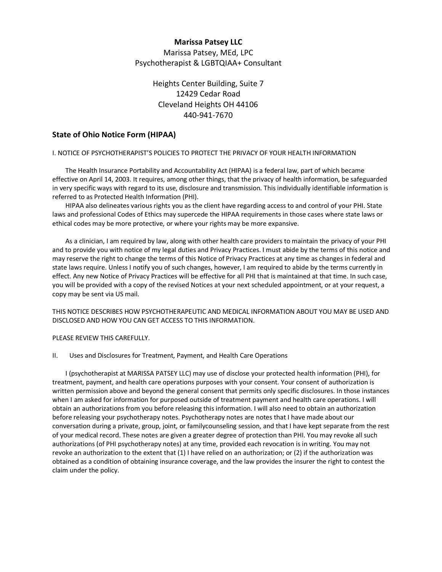# **Marissa Patsey LLC** Marissa Patsey, MEd, LPC Psychotherapist & LGBTQIAA+ Consultant

# Heights Center Building, Suite 7 12429 Cedar Road Cleveland Heights OH 44106 440-941-7670

## **State of Ohio Notice Form (HIPAA)**

## I. NOTICE OF PSYCHOTHERAPIST'S POLICIES TO PROTECT THE PRIVACY OF YOUR HEALTH INFORMATION

The Health Insurance Portability and Accountability Act (HIPAA) is a federal law, part of which became effective on April 14, 2003. It requires, among other things, that the privacy of health information, be safeguarded in very specific ways with regard to its use, disclosure and transmission. This individually identifiable information is referred to as Protected Health Information (PHI).

HIPAA also delineates various rights you as the client have regarding access to and control of your PHI. State laws and professional Codes of Ethics may supercede the HIPAA requirements in those cases where state laws or ethical codes may be more protective, or where your rights may be more expansive.

As a clinician, I am required by law, along with other health care providers to maintain the privacy of your PHI and to provide you with notice of my legal duties and Privacy Practices. I must abide by the terms of this notice and may reserve the right to change the terms of this Notice of Privacy Practices at any time as changes in federal and state laws require. Unless I notify you of such changes, however, I am required to abide by the terms currently in effect. Any new Notice of Privacy Practices will be effective for all PHI that is maintained at that time. In such case, you will be provided with a copy of the revised Notices at your next scheduled appointment, or at your request, a copy may be sent via US mail.

THIS NOTICE DESCRIBES HOW PSYCHOTHERAPEUTIC AND MEDICAL INFORMATION ABOUT YOU MAY BE USED AND DISCLOSED AND HOW YOU CAN GET ACCESS TO THIS INFORMATION.

## PLEASE REVIEW THIS CAREFULLY.

## II. Uses and Disclosures for Treatment, Payment, and Health Care Operations

I (psychotherapist at MARISSA PATSEY LLC) may use of disclose your protected health information (PHI), for treatment, payment, and health care operations purposes with your consent. Your consent of authorization is written permission above and beyond the general consent that permits only specific disclosures. In those instances when I am asked for information for purposed outside of treatment payment and health care operations. I will obtain an authorizations from you before releasing this information. I will also need to obtain an authorization before releasing your psychotherapy notes. Psychotherapy notes are notes that I have made about our conversation during a private, group, joint, or familycounseling session, and that I have kept separate from the rest of your medical record. These notes are given a greater degree of protection than PHI. You may revoke all such authorizations (of PHI psychotherapy notes) at any time, provided each revocation is in writing. You may not revoke an authorization to the extent that (1) I have relied on an authorization; or (2) if the authorization was obtained as a condition of obtaining insurance coverage, and the law provides the insurer the right to contest the claim under the policy.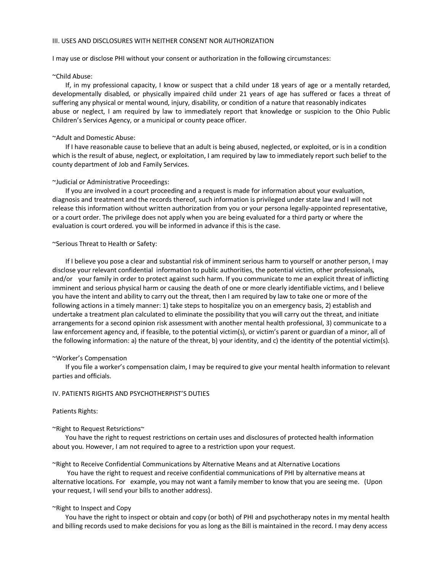## III. USES AND DISCLOSURES WITH NEITHER CONSENT NOR AUTHORIZATION

I may use or disclose PHI without your consent or authorization in the following circumstances:

#### ~Child Abuse:

If, in my professional capacity, I know or suspect that a child under 18 years of age or a mentally retarded, developmentally disabled, or physically impaired child under 21 years of age has suffered or faces a threat of suffering any physical or mental wound, injury, disability, or condition of a nature that reasonably indicates abuse or neglect, I am required by law to immediately report that knowledge or suspicion to the Ohio Public Children's Services Agency, or a municipal or county peace officer.

#### ~Adult and Domestic Abuse:

If I have reasonable cause to believe that an adult is being abused, neglected, or exploited, or is in a condition which is the result of abuse, neglect, or exploitation, I am required by law to immediately report such belief to the county department of Job and Family Services.

#### ~Judicial or Administrative Proceedings:

If you are involved in a court proceeding and a request is made for information about your evaluation, diagnosis and treatment and the records thereof, such information is privileged under state law and I will not release this information without written authorization from you or your persona legally-appointed representative, or a court order. The privilege does not apply when you are being evaluated for a third party or where the evaluation is court ordered. you will be informed in advance if this is the case.

#### ~Serious Threat to Health or Safety:

If I believe you pose a clear and substantial risk of imminent serious harm to yourself or another person, I may disclose your relevant confidential information to public authorities, the potential victim, other professionals, and/or your family in order to protect against such harm. If you communicate to me an explicit threat of inflicting imminent and serious physical harm or causing the death of one or more clearly identifiable victims, and I believe you have the intent and ability to carry out the threat, then I am required by law to take one or more of the following actions in a timely manner: 1) take steps to hospitalize you on an emergency basis, 2) establish and undertake a treatment plan calculated to eliminate the possibility that you will carry out the threat, and initiate arrangements for a second opinion risk assessment with another mental health professional, 3) communicate to a law enforcement agency and, if feasible, to the potential victim(s), or victim's parent or guardian of a minor, all of the following information: a) the nature of the threat, b) your identity, and c) the identity of the potential victim(s).

#### ~Worker's Compensation

If you file a worker's compensation claim, I may be required to give your mental health information to relevant parties and officials.

### IV. PATIENTS RIGHTS AND PSYCHOTHERPIST'S DUTIES

#### Patients Rights:

#### ~Right to Request Retsrictions~

You have the right to request restrictions on certain uses and disclosures of protected health information about you. However, I am not required to agree to a restriction upon your request.

~Right to Receive Confidential Communications by Alternative Means and at Alternative Locations

You have the right to request and receive confidential communications of PHI by alternative means at alternative locations. For example, you may not want a family member to know that you are seeing me. (Upon your request, I will send your bills to another address).

### ~Right to Inspect and Copy

You have the right to inspect or obtain and copy (or both) of PHI and psychotherapy notes in my mental health and billing records used to make decisions for you as long as the Bill is maintained in the record. I may deny access